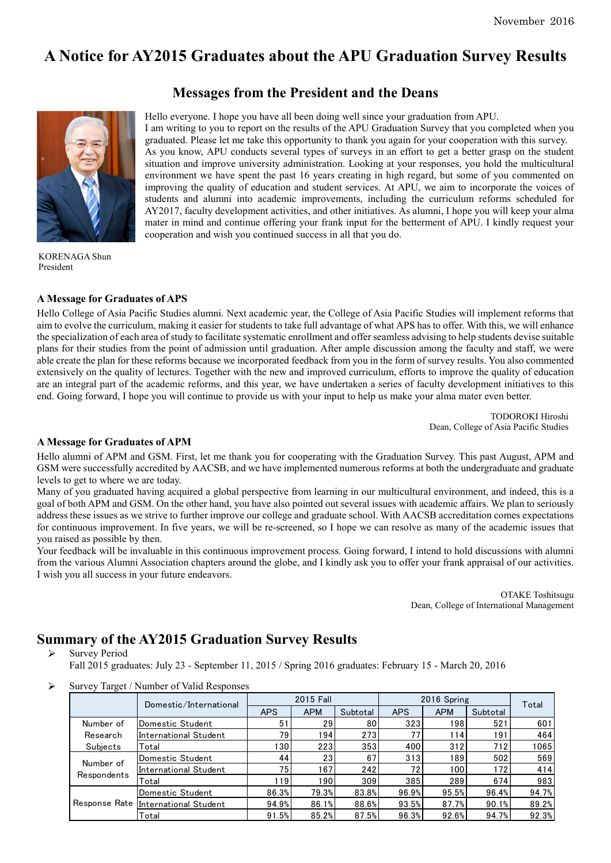# **A Notice for AY2015 Graduates about the APU Graduation Survey Results**

# **Messages from the President and the Deans**



Hello everyone. I hope you have all been doing well since your graduation from APU. I am writing to you to report on the results of the APU Graduation Survey that you completed when you graduated. Please let me take this opportunity to thank you again for your cooperation with this survey. As you know, APU conducts several types of surveys in an effort to get a better grasp on the student situation and improve university administration. Looking at your responses, you hold the multicultural environment we have spent the past 16 years creating in high regard, but some of you commented on improving the quality of education and student services. At APU, we aim to incorporate the voices of students and alumni into academic improvements, including the curriculum reforms scheduled for AY2017, faculty development activities, and other initiatives. As alumni, I hope you will keep your alma mater in mind and continue offering your frank input for the betterment of APU. I kindly request your cooperation and wish you continued success in all that you do.

KORENAGA Shun President

### **A Message for Graduates of APS**

Hello College of Asia Pacific Studies alumni. Next academic year, the College of Asia Pacific Studies will implement reforms that aim to evolve the curriculum, making it easier for students to take full advantage of what APS has to offer. With this, we will enhance the specialization of each area ofstudy to facilitate systematic enrollment and offer seamless advising to help students devise suitable plans for their studies from the point of admission until graduation. After ample discussion among the faculty and staff, we were able create the plan for these reforms because we incorporated feedback from you in the form of survey results. You also commented extensively on the quality of lectures. Together with the new and improved curriculum, efforts to improve the quality of education are an integral part of the academic reforms, and this year, we have undertaken a series of faculty development initiatives to this end. Going forward, I hope you will continue to provide us with your input to help us make your alma mater even better.

> TODOROKI Hiroshi Dean, College of Asia Pacific Studies

#### **A Message for Graduates of APM**

Hello alumni of APM and GSM. First, let me thank you for cooperating with the Graduation Survey. This past August, APM and GSM were successfully accredited by AACSB, and we have implemented numerous reforms at both the undergraduate and graduate levels to get to where we are today.

Many of you graduated having acquired a global perspective from learning in our multicultural environment, and indeed, this is a goal of both APM and GSM. On the other hand, you have also pointed out several issues with academic affairs. We plan to seriously address these issues as we strive to further improve our college and graduate school. With AACSB accreditation comes expectations for continuous improvement. In five years, we will be re-screened, so I hope we can resolve as many of the academic issues that you raised as possible by then.

Your feedback will be invaluable in this continuous improvement process. Going forward, I intend to hold discussions with alumni from the various Alumni Association chapters around the globe, and I kindly ask you to offer your frank appraisal of our activities. I wish you all success in your future endeavors.

> OTAKE Toshitsugu Dean, College of International Management

### **Summary of the AY2015 Graduation Survey Results**

Survey Period

Fall 2015 graduates: July 23 - September 11, 2015 / Spring 2016 graduates: February 15 - March 20, 2016

Survey Target / Number of Valid Responses

|                                   | Domestic/International | 2015 Fall       |                  |          | 2016 Spring |            |          | Total |
|-----------------------------------|------------------------|-----------------|------------------|----------|-------------|------------|----------|-------|
|                                   |                        | <b>APS</b>      | <b>APM</b>       | Subtotal | <b>APS</b>  | <b>APM</b> | Subtotal |       |
| Number of<br>Research<br>Subjects | Domestic Student       | 51              | 29               | 80       | 323         | 198        | 521      | 601   |
|                                   | International Student  | 79              | 194              | 273      | 77          | 114        | 191      | 464   |
|                                   | Total                  | 130             | 223              | 353      | 400         | 312        | 712      | 1065  |
| Number of<br>Respondents          | Domestic Student       | 44              | 23               | 67       | 313         | 189        | 502      | 569   |
|                                   | International Student  | 75 <sub>l</sub> | 167 <sub>1</sub> | 242      | 72          | 100        | 172      | 414   |
|                                   | Total                  | 19              | 190              | 309      | 385         | 289        | 674      | 983   |
| Response Rate                     | Domestic Student       | 86.3%           | 79.3%            | 83.8%    | 96.9%       | 95.5%      | 96.4%    | 94.7% |
|                                   | International Student  | 94.9%           | 86.1%            | 88.6%    | 93.5%       | 87.7%      | 90.1%    | 89.2% |
|                                   | Total                  | 91.5%           | 85.2%            | 87.5%    | 96.3%       | 92.6%      | 94.7%    | 92.3% |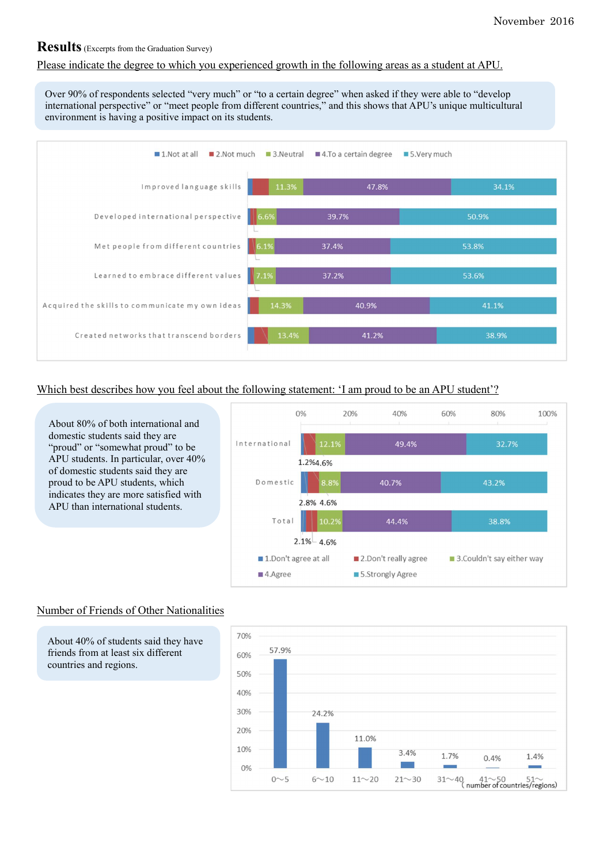# **Results**(Excerpts from the Graduation Survey)

### Please indicate the degree to which you experienced growth in the following areas as a student at APU.

Over 90% of respondents selected "very much" or "to a certain degree" when asked if they were able to "develop international perspective" or "meet people from different countries," and this shows that APU's unique multicultural environment is having a positive impact on its students.



### Which best describes how you feel about the following statement: 'I am proud to be an APU student'?

About 80% of both international and domestic students said they are "proud" or "somewhat proud" to be APU students. In particular, over 40% of domestic students said they are proud to be APU students, which indicates they are more satisfied with APU than international students.



### Number of Friends of Other Nationalities

About 40% of students said they have friends from at least six different countries and regions.